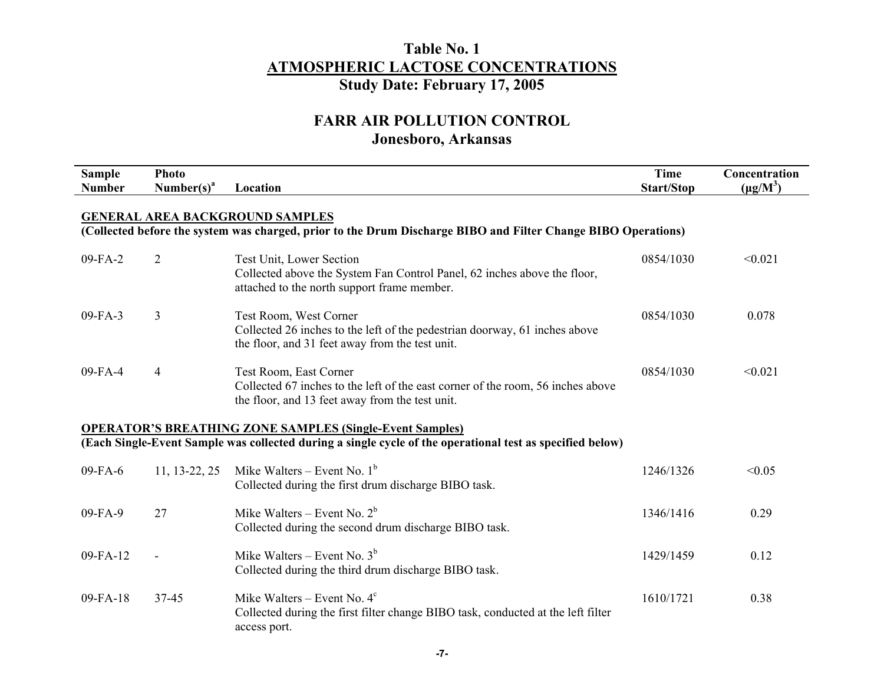# **FARR AIR POLLUTION CONTROL**

# **Jonesboro, Arkansas**

| <b>Sample</b><br><b>Number</b>                                                                                                                          | <b>Photo</b><br>Number $(s)^a$ | Location                                                                                                                                                                     | <b>Time</b><br>Start/Stop | Concentration<br>$(\mu g/M^3)$ |  |  |  |
|---------------------------------------------------------------------------------------------------------------------------------------------------------|--------------------------------|------------------------------------------------------------------------------------------------------------------------------------------------------------------------------|---------------------------|--------------------------------|--|--|--|
| <b>GENERAL AREA BACKGROUND SAMPLES</b><br>(Collected before the system was charged, prior to the Drum Discharge BIBO and Filter Change BIBO Operations) |                                |                                                                                                                                                                              |                           |                                |  |  |  |
| 09-FA-2                                                                                                                                                 | $\overline{2}$                 | Test Unit, Lower Section<br>Collected above the System Fan Control Panel, 62 inches above the floor,<br>attached to the north support frame member.                          | 0854/1030                 | < 0.021                        |  |  |  |
| $09-FA-3$                                                                                                                                               | 3                              | Test Room, West Corner<br>Collected 26 inches to the left of the pedestrian doorway, 61 inches above<br>the floor, and 31 feet away from the test unit.                      | 0854/1030                 | 0.078                          |  |  |  |
| 09-FA-4                                                                                                                                                 | 4                              | Test Room, East Corner<br>Collected 67 inches to the left of the east corner of the room, 56 inches above<br>the floor, and 13 feet away from the test unit.                 | 0854/1030                 | < 0.021                        |  |  |  |
|                                                                                                                                                         |                                | <b>OPERATOR'S BREATHING ZONE SAMPLES (Single-Event Samples)</b><br>(Each Single-Event Sample was collected during a single cycle of the operational test as specified below) |                           |                                |  |  |  |
| 09-FA-6                                                                                                                                                 | 11, 13-22, 25                  | Mike Walters – Event No. $1b$<br>Collected during the first drum discharge BIBO task.                                                                                        | 1246/1326                 | < 0.05                         |  |  |  |
| 09-FA-9                                                                                                                                                 | 27                             | Mike Walters – Event No. $2^b$<br>Collected during the second drum discharge BIBO task.                                                                                      | 1346/1416                 | 0.29                           |  |  |  |
| 09-FA-12                                                                                                                                                |                                | Mike Walters – Event No. $3b$<br>Collected during the third drum discharge BIBO task.                                                                                        | 1429/1459                 | 0.12                           |  |  |  |
| $09 - FA - 18$                                                                                                                                          | 37-45                          | Mike Walters – Event No. $4^c$<br>Collected during the first filter change BIBO task, conducted at the left filter<br>access port.                                           | 1610/1721                 | 0.38                           |  |  |  |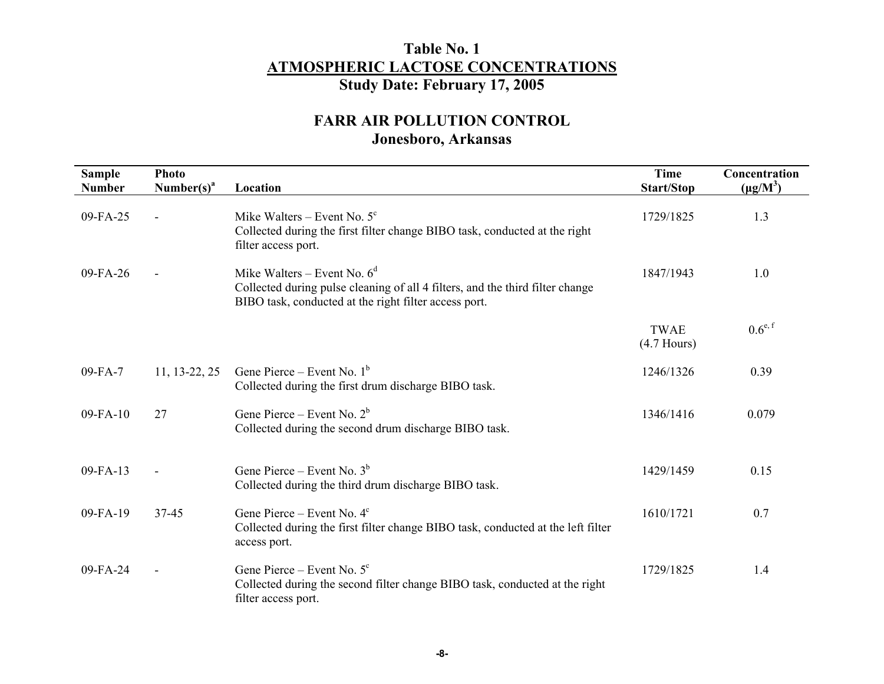| <b>Sample</b><br><b>Number</b> | <b>Photo</b><br>Number(s) <sup>a</sup> | Location                                                                                                                                                                 | <b>Time</b><br><b>Start/Stop</b> | Concentration<br>$(\mu g/M^3)$ |
|--------------------------------|----------------------------------------|--------------------------------------------------------------------------------------------------------------------------------------------------------------------------|----------------------------------|--------------------------------|
| 09-FA-25                       |                                        | Mike Walters – Event No. $5^{\circ}$<br>Collected during the first filter change BIBO task, conducted at the right<br>filter access port.                                | 1729/1825                        | 1.3                            |
| $09 - FA - 26$                 |                                        | Mike Walters – Event No. $6^d$<br>Collected during pulse cleaning of all 4 filters, and the third filter change<br>BIBO task, conducted at the right filter access port. | 1847/1943                        | 1.0                            |
|                                |                                        |                                                                                                                                                                          | <b>TWAE</b><br>$(4.7$ Hours)     | $0.6^{e,f}$                    |
| $09-FA-7$                      | 11, 13-22, 25                          | Gene Pierce – Event No. $1^b$<br>Collected during the first drum discharge BIBO task.                                                                                    | 1246/1326                        | 0.39                           |
| $09-FA-10$                     | 27                                     | Gene Pierce – Event No. $2^b$<br>Collected during the second drum discharge BIBO task.                                                                                   | 1346/1416                        | 0.079                          |
| $09 - FA - 13$                 |                                        | Gene Pierce – Event No. $3b$<br>Collected during the third drum discharge BIBO task.                                                                                     | 1429/1459                        | 0.15                           |
| $09-FA-19$                     | 37-45                                  | Gene Pierce – Event No. $4^c$<br>Collected during the first filter change BIBO task, conducted at the left filter<br>access port.                                        | 1610/1721                        | 0.7                            |
| 09-FA-24                       |                                        | Gene Pierce – Event No. $5^{\circ}$<br>Collected during the second filter change BIBO task, conducted at the right<br>filter access port.                                | 1729/1825                        | 1.4                            |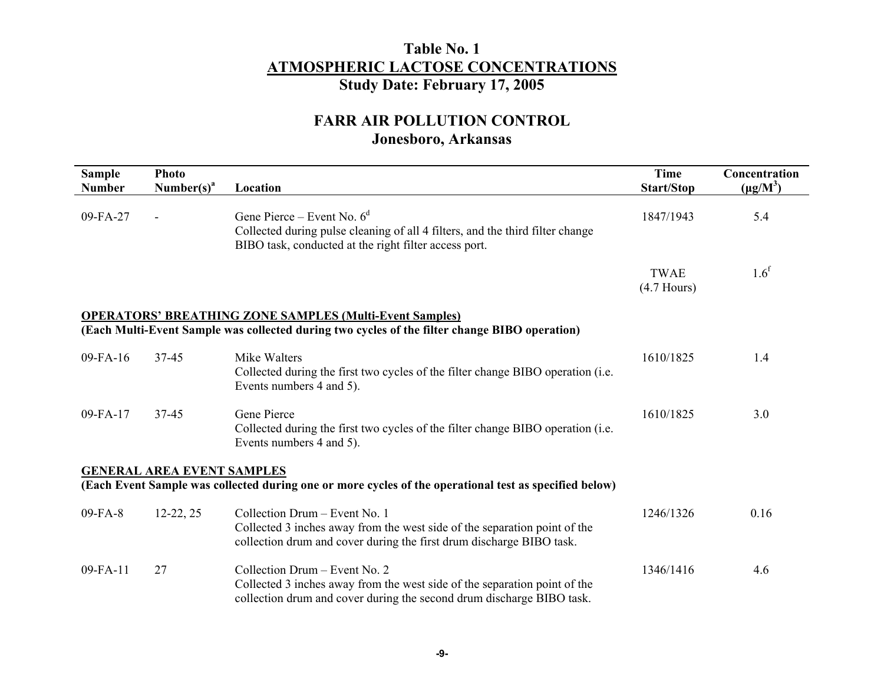| <b>Sample</b><br><b>Number</b> | <b>Photo</b><br>Number(s) <sup>a</sup> | Location                                                                                                                                                                            | <b>Time</b><br><b>Start/Stop</b> | Concentration<br>$(\mu g/M^3)$ |
|--------------------------------|----------------------------------------|-------------------------------------------------------------------------------------------------------------------------------------------------------------------------------------|----------------------------------|--------------------------------|
| 09-FA-27                       |                                        | Gene Pierce – Event No. $6^d$<br>Collected during pulse cleaning of all 4 filters, and the third filter change<br>BIBO task, conducted at the right filter access port.             | 1847/1943                        | 5.4                            |
|                                |                                        |                                                                                                                                                                                     | <b>TWAE</b><br>$(4.7$ Hours)     | 1.6 <sup>f</sup>               |
|                                |                                        | <b>OPERATORS' BREATHING ZONE SAMPLES (Multi-Event Samples)</b>                                                                                                                      |                                  |                                |
|                                |                                        | (Each Multi-Event Sample was collected during two cycles of the filter change BIBO operation)                                                                                       |                                  |                                |
| $09 - FA - 16$                 | $37 - 45$                              | Mike Walters<br>Collected during the first two cycles of the filter change BIBO operation (i.e.<br>Events numbers 4 and 5).                                                         | 1610/1825                        | 1.4                            |
| 09-FA-17                       | $37 - 45$                              | Gene Pierce<br>Collected during the first two cycles of the filter change BIBO operation (i.e.<br>Events numbers 4 and 5).                                                          | 1610/1825                        | 3.0                            |
|                                | <b>GENERAL AREA EVENT SAMPLES</b>      | (Each Event Sample was collected during one or more cycles of the operational test as specified below)                                                                              |                                  |                                |
| 09-FA-8                        | $12-22, 25$                            | Collection Drum – Event No. 1<br>Collected 3 inches away from the west side of the separation point of the<br>collection drum and cover during the first drum discharge BIBO task.  | 1246/1326                        | 0.16                           |
| 09-FA-11                       | 27                                     | Collection Drum - Event No. 2<br>Collected 3 inches away from the west side of the separation point of the<br>collection drum and cover during the second drum discharge BIBO task. | 1346/1416                        | 4.6                            |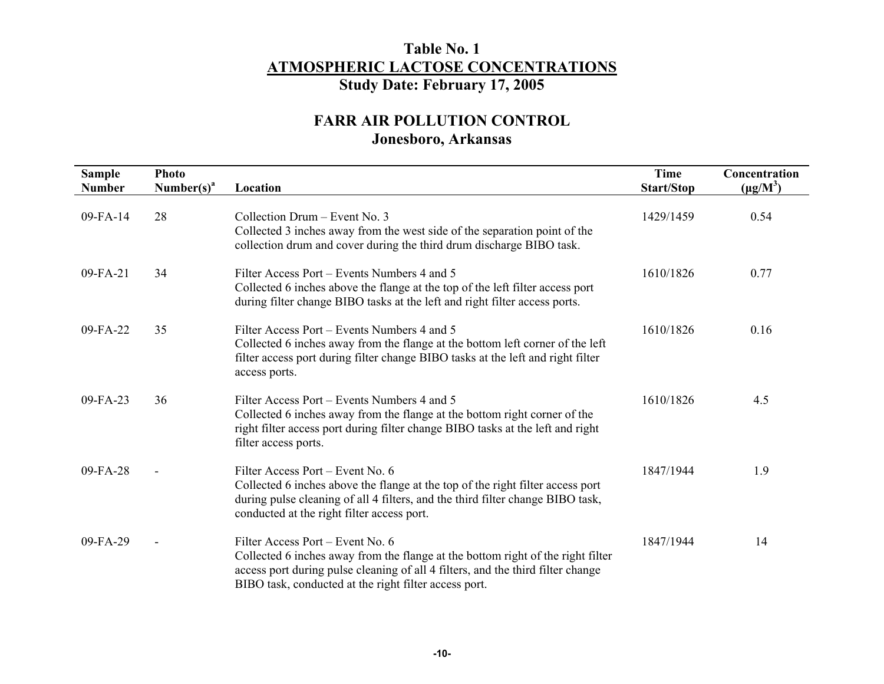| <b>Sample</b><br><b>Number</b> | <b>Photo</b><br>Number(s) <sup>a</sup> | Location                                                                                                                                                                                                                                                        | <b>Time</b><br>Start/Stop | Concentration<br>$(\mu g/M^3)$ |
|--------------------------------|----------------------------------------|-----------------------------------------------------------------------------------------------------------------------------------------------------------------------------------------------------------------------------------------------------------------|---------------------------|--------------------------------|
| $09 - FA - 14$                 | 28                                     | Collection Drum - Event No. 3<br>Collected 3 inches away from the west side of the separation point of the<br>collection drum and cover during the third drum discharge BIBO task.                                                                              | 1429/1459                 | 0.54                           |
| 09-FA-21                       | 34                                     | Filter Access Port – Events Numbers 4 and 5<br>Collected 6 inches above the flange at the top of the left filter access port<br>during filter change BIBO tasks at the left and right filter access ports.                                                      | 1610/1826                 | 0.77                           |
| $09 - FA - 22$                 | 35                                     | Filter Access Port – Events Numbers 4 and 5<br>Collected 6 inches away from the flange at the bottom left corner of the left<br>filter access port during filter change BIBO tasks at the left and right filter<br>access ports.                                | 1610/1826                 | 0.16                           |
| $09 - FA - 23$                 | 36                                     | Filter Access Port – Events Numbers 4 and 5<br>Collected 6 inches away from the flange at the bottom right corner of the<br>right filter access port during filter change BIBO tasks at the left and right<br>filter access ports.                              | 1610/1826                 | 4.5                            |
| $09-FA-28$                     |                                        | Filter Access Port – Event No. 6<br>Collected 6 inches above the flange at the top of the right filter access port<br>during pulse cleaning of all 4 filters, and the third filter change BIBO task,<br>conducted at the right filter access port.              | 1847/1944                 | 1.9                            |
| 09-FA-29                       |                                        | Filter Access Port – Event No. 6<br>Collected 6 inches away from the flange at the bottom right of the right filter<br>access port during pulse cleaning of all 4 filters, and the third filter change<br>BIBO task, conducted at the right filter access port. | 1847/1944                 | 14                             |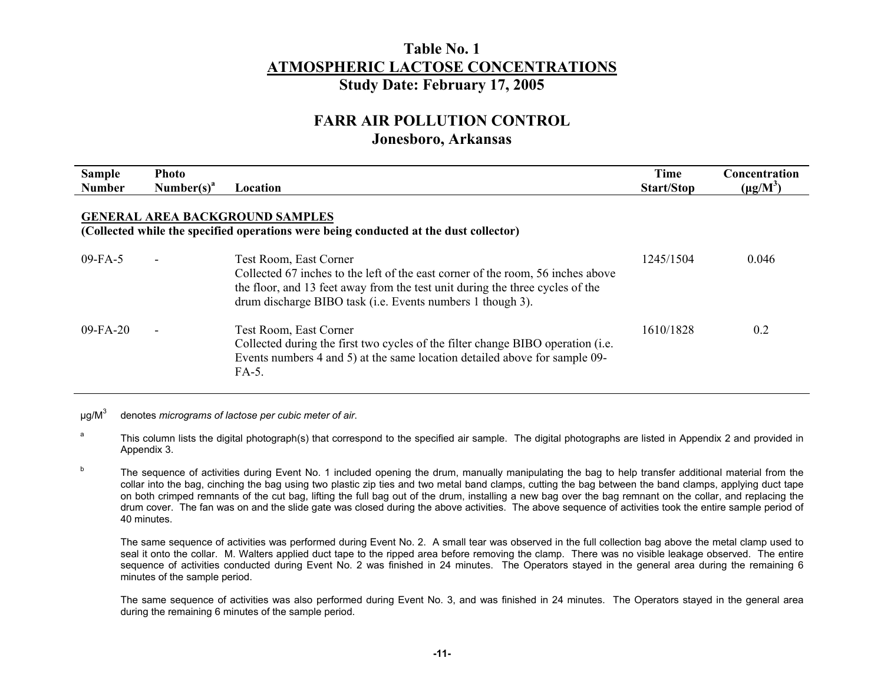# **FARR AIR POLLUTION CONTROL**

#### **Jonesboro, Arkansas**

| <b>Sample</b><br><b>Number</b> | <b>Photo</b><br>Number(s) <sup>a</sup> | Location                                                                                                                                                                                                                                                 | <b>Time</b><br><b>Start/Stop</b> | Concentration<br>$(\mu g/M^3)$ |
|--------------------------------|----------------------------------------|----------------------------------------------------------------------------------------------------------------------------------------------------------------------------------------------------------------------------------------------------------|----------------------------------|--------------------------------|
|                                |                                        | <b>GENERAL AREA BACKGROUND SAMPLES</b><br>(Collected while the specified operations were being conducted at the dust collector)                                                                                                                          |                                  |                                |
| $09-FA-5$                      |                                        | Test Room, East Corner<br>Collected 67 inches to the left of the east corner of the room, 56 inches above<br>the floor, and 13 feet away from the test unit during the three cycles of the<br>drum discharge BIBO task (i.e. Events numbers 1 though 3). | 1245/1504                        | 0.046                          |
| $09 - FA - 20$                 |                                        | Test Room, East Corner<br>Collected during the first two cycles of the filter change BIBO operation ( <i>i.e.</i> )<br>Events numbers 4 and 5) at the same location detailed above for sample 09-<br>FA-5.                                               | 1610/1828                        | 0.2                            |

µg/M3 denotes *micrograms of lactose per cubic meter of air*.

<sup>a</sup> This column lists the digital photograph(s) that correspond to the specified air sample. The digital photographs are listed in Appendix 2 and provided in Appendix 3.

<sup>b</sup> The sequence of activities during Event No. 1 included opening the drum, manually manipulating the bag to help transfer additional material from the collar into the bag, cinching the bag using two plastic zip ties and two metal band clamps, cutting the bag between the band clamps, applying duct tape on both crimped remnants of the cut bag, lifting the full bag out of the drum, installing a new bag over the bag remnant on the collar, and replacing the drum cover. The fan was on and the slide gate was closed during the above activities. The above sequence of activities took the entire sample period of 40 minutes.

The same sequence of activities was performed during Event No. 2. A small tear was observed in the full collection bag above the metal clamp used to seal it onto the collar. M. Walters applied duct tape to the ripped area before removing the clamp. There was no visible leakage observed. The entire sequence of activities conducted during Event No. 2 was finished in 24 minutes. The Operators stayed in the general area during the remaining 6 minutes of the sample period.

 The same sequence of activities was also performed during Event No. 3, and was finished in 24 minutes. The Operators stayed in the general area during the remaining 6 minutes of the sample period.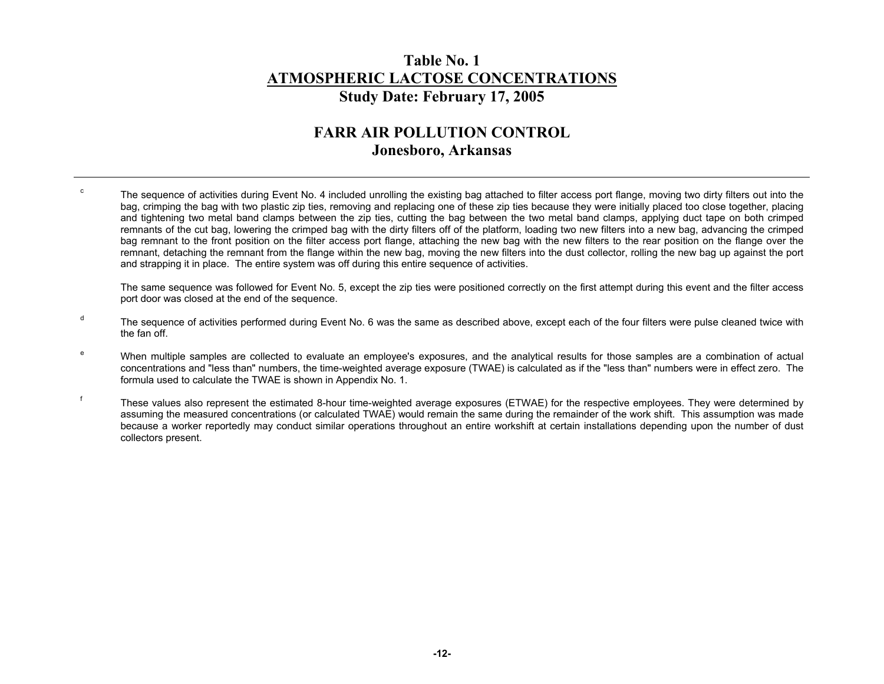# **FARR AIR POLLUTION CONTROL Jonesboro, Arkansas**

<sup>c</sup> The sequence of activities during Event No. 4 included unrolling the existing bag attached to filter access port flange, moving two dirty filters out into the bag, crimping the bag with two plastic zip ties, removing and replacing one of these zip ties because they were initially placed too close together, placing and tightening two metal band clamps between the zip ties, cutting the bag between the two metal band clamps, applying duct tape on both crimped remnants of the cut bag, lowering the crimped bag with the dirty filters off of the platform, loading two new filters into a new bag, advancing the crimped bag remnant to the front position on the filter access port flange, attaching the new bag with the new filters to the rear position on the flange over the remnant, detaching the remnant from the flange within the new bag, moving the new filters into the dust collector, rolling the new bag up against the port and strapping it in place. The entire system was off during this entire sequence of activities.

 The same sequence was followed for Event No. 5, except the zip ties were positioned correctly on the first attempt during this event and the filter access port door was closed at the end of the sequence.

- <sup>d</sup> The sequence of activities performed during Event No. 6 was the same as described above, except each of the four filters were pulse cleaned twice with the fan off.
- <sup>e</sup> When multiple samples are collected to evaluate an employee's exposures, and the analytical results for those samples are a combination of actual concentrations and "less than" numbers, the time-weighted average exposure (TWAE) is calculated as if the "less than" numbers were in effect zero. The formula used to calculate the TWAE is shown in Appendix No. 1.
- f These values also represent the estimated 8-hour time-weighted average exposures (ETWAE) for the respective employees. They were determined by assuming the measured concentrations (or calculated TWAE) would remain the same during the remainder of the work shift. This assumption was made because a worker reportedly may conduct similar operations throughout an entire workshift at certain installations depending upon the number of dust collectors present.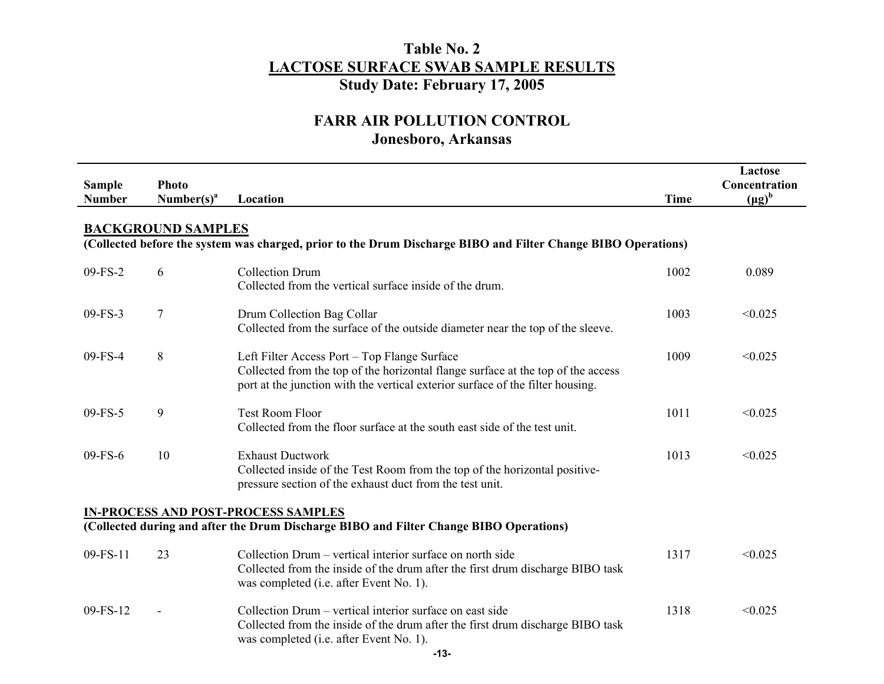| <b>Sample</b><br><b>Number</b> | <b>Photo</b><br>Number(s) <sup>a</sup>                                                                                               | Location                                                                                                                                                                                                           | <b>Time</b> | Lactose<br>Concentration<br>$(\mu g)^b$ |  |  |  |
|--------------------------------|--------------------------------------------------------------------------------------------------------------------------------------|--------------------------------------------------------------------------------------------------------------------------------------------------------------------------------------------------------------------|-------------|-----------------------------------------|--|--|--|
|                                | <b>BACKGROUND SAMPLES</b>                                                                                                            | (Collected before the system was charged, prior to the Drum Discharge BIBO and Filter Change BIBO Operations)                                                                                                      |             |                                         |  |  |  |
| $09-FS-2$                      | 6                                                                                                                                    | <b>Collection Drum</b><br>Collected from the vertical surface inside of the drum.                                                                                                                                  | 1002        | 0.089                                   |  |  |  |
| 09-FS-3                        | 7                                                                                                                                    | Drum Collection Bag Collar<br>Collected from the surface of the outside diameter near the top of the sleeve.                                                                                                       | 1003        | < 0.025                                 |  |  |  |
| 09-FS-4                        | 8                                                                                                                                    | Left Filter Access Port - Top Flange Surface<br>Collected from the top of the horizontal flange surface at the top of the access<br>port at the junction with the vertical exterior surface of the filter housing. | 1009        | < 0.025                                 |  |  |  |
| $09-FS-5$                      | 9                                                                                                                                    | <b>Test Room Floor</b><br>Collected from the floor surface at the south east side of the test unit.                                                                                                                | 1011        | < 0.025                                 |  |  |  |
| 09-FS-6                        | 10                                                                                                                                   | <b>Exhaust Ductwork</b><br>Collected inside of the Test Room from the top of the horizontal positive-<br>pressure section of the exhaust duct from the test unit.                                                  | 1013        | < 0.025                                 |  |  |  |
|                                | <b>IN-PROCESS AND POST-PROCESS SAMPLES</b><br>(Collected during and after the Drum Discharge BIBO and Filter Change BIBO Operations) |                                                                                                                                                                                                                    |             |                                         |  |  |  |
| 09-FS-11                       | 23                                                                                                                                   | Collection Drum – vertical interior surface on north side<br>Collected from the inside of the drum after the first drum discharge BIBO task<br>was completed (i.e. after Event No. 1).                             | 1317        | < 0.025                                 |  |  |  |
| 09-FS-12                       |                                                                                                                                      | Collection Drum – vertical interior surface on east side<br>Collected from the inside of the drum after the first drum discharge BIBO task<br>was completed (i.e. after Event No. 1).<br>$-13-$                    | 1318        | < 0.025                                 |  |  |  |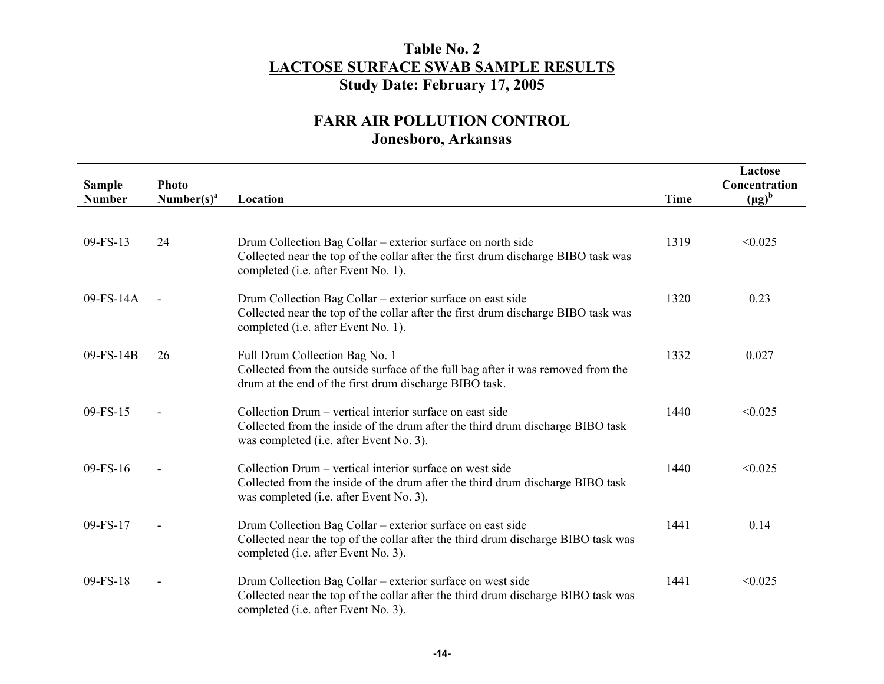| <b>Sample</b> | <b>Photo</b>           |                                                                                                                                                                                                |             | Lactose<br>Concentration |
|---------------|------------------------|------------------------------------------------------------------------------------------------------------------------------------------------------------------------------------------------|-------------|--------------------------|
| <b>Number</b> | Number(s) <sup>a</sup> | Location                                                                                                                                                                                       | <b>Time</b> | $(\mu g)^b$              |
| $09-FS-13$    | 24                     | Drum Collection Bag Collar – exterior surface on north side<br>Collected near the top of the collar after the first drum discharge BIBO task was<br>completed (i.e. after Event No. 1).        | 1319        | < 0.025                  |
| $09-FS-14A$   |                        | Drum Collection Bag Collar – exterior surface on east side<br>Collected near the top of the collar after the first drum discharge BIBO task was<br>completed (i.e. after Event No. 1).         | 1320        | 0.23                     |
| 09-FS-14B     | 26                     | Full Drum Collection Bag No. 1<br>Collected from the outside surface of the full bag after it was removed from the<br>drum at the end of the first drum discharge BIBO task.                   | 1332        | 0.027                    |
| 09-FS-15      |                        | Collection Drum – vertical interior surface on east side<br>Collected from the inside of the drum after the third drum discharge BIBO task<br>was completed (i.e. after Event No. 3).          | 1440        | < 0.025                  |
| $09-FS-16$    |                        | Collection Drum – vertical interior surface on west side<br>Collected from the inside of the drum after the third drum discharge BIBO task<br>was completed ( <i>i.e.</i> after Event No. 3).  | 1440        | < 0.025                  |
| 09-FS-17      |                        | Drum Collection Bag Collar – exterior surface on east side<br>Collected near the top of the collar after the third drum discharge BIBO task was<br>completed (i.e. after Event No. 3).         | 1441        | 0.14                     |
| 09-FS-18      |                        | Drum Collection Bag Collar – exterior surface on west side<br>Collected near the top of the collar after the third drum discharge BIBO task was<br>completed ( <i>i.e.</i> after Event No. 3). | 1441        | < 0.025                  |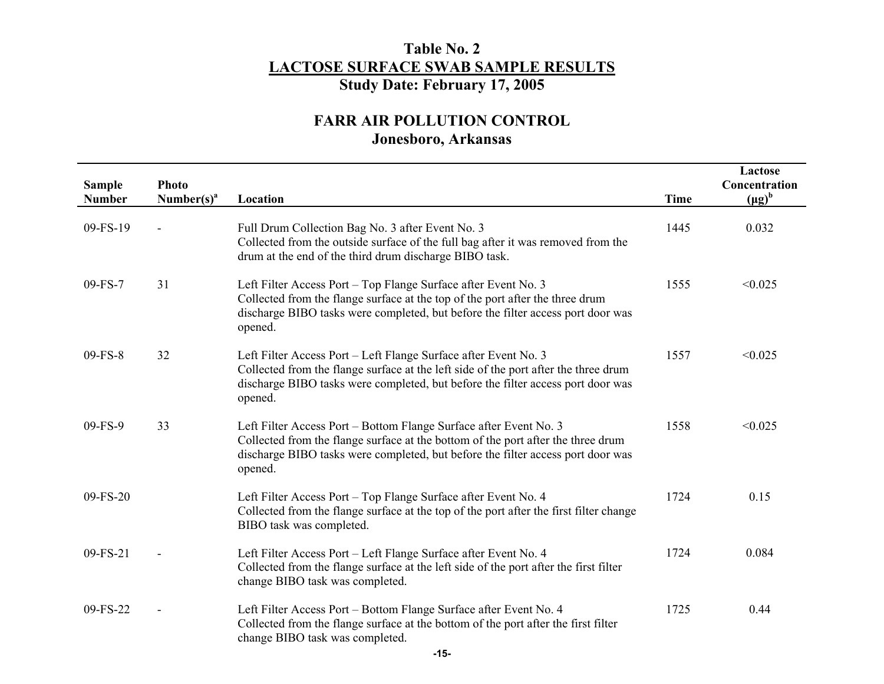| <b>Sample</b><br><b>Number</b> | <b>Photo</b><br>Number(s) <sup>a</sup> | Location                                                                                                                                                                                                                                             | <b>Time</b> | Lactose<br>Concentration<br>$(\mu g)^b$ |
|--------------------------------|----------------------------------------|------------------------------------------------------------------------------------------------------------------------------------------------------------------------------------------------------------------------------------------------------|-------------|-----------------------------------------|
| 09-FS-19                       |                                        | Full Drum Collection Bag No. 3 after Event No. 3<br>Collected from the outside surface of the full bag after it was removed from the<br>drum at the end of the third drum discharge BIBO task.                                                       | 1445        | 0.032                                   |
| 09-FS-7                        | 31                                     | Left Filter Access Port - Top Flange Surface after Event No. 3<br>Collected from the flange surface at the top of the port after the three drum<br>discharge BIBO tasks were completed, but before the filter access port door was<br>opened.        | 1555        | < 0.025                                 |
| 09-FS-8                        | 32                                     | Left Filter Access Port - Left Flange Surface after Event No. 3<br>Collected from the flange surface at the left side of the port after the three drum<br>discharge BIBO tasks were completed, but before the filter access port door was<br>opened. | 1557        | < 0.025                                 |
| $09-FS-9$                      | 33                                     | Left Filter Access Port – Bottom Flange Surface after Event No. 3<br>Collected from the flange surface at the bottom of the port after the three drum<br>discharge BIBO tasks were completed, but before the filter access port door was<br>opened.  | 1558        | < 0.025                                 |
| 09-FS-20                       |                                        | Left Filter Access Port - Top Flange Surface after Event No. 4<br>Collected from the flange surface at the top of the port after the first filter change<br>BIBO task was completed.                                                                 | 1724        | 0.15                                    |
| 09-FS-21                       |                                        | Left Filter Access Port – Left Flange Surface after Event No. 4<br>Collected from the flange surface at the left side of the port after the first filter<br>change BIBO task was completed.                                                          | 1724        | 0.084                                   |
| 09-FS-22                       |                                        | Left Filter Access Port - Bottom Flange Surface after Event No. 4<br>Collected from the flange surface at the bottom of the port after the first filter<br>change BIBO task was completed.                                                           | 1725        | 0.44                                    |